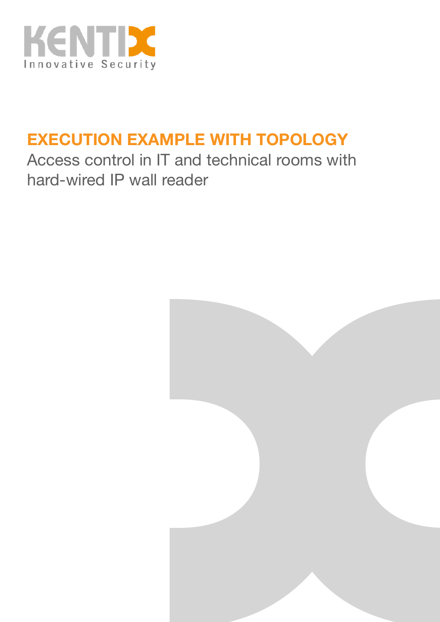

## **EXECUTION EXAMPLE WITH TOPOLOGY**

Access control in IT and technical rooms with hard-wired IP wall reader

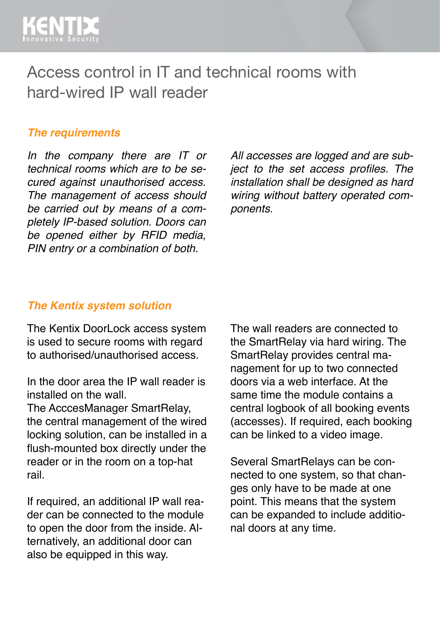

Access control in IT and technical rooms with hard-wired IP wall reader

#### *The requirements*

*In the company there are IT or technical rooms which are to be secured against unauthorised access. The management of access should be carried out by means of a completely IP-based solution. Doors can be opened either by RFID media, PIN entry or a combination of both.* 

*All accesses are logged and are subject to the set access profiles. The installation shall be designed as hard wiring without battery operated components.*

#### *The Kentix system solution*

The Kentix DoorLock access system is used to secure rooms with regard to authorised/unauthorised access.

In the door area the IP wall reader is installed on the wall.

The AcccesManager SmartRelay, the central management of the wired locking solution, can be installed in a flush-mounted box directly under the reader or in the room on a top-hat rail.

If required, an additional IP wall reader can be connected to the module to open the door from the inside. Alternatively, an additional door can also be equipped in this way.

The wall readers are connected to the SmartRelay via hard wiring. The SmartRelay provides central management for up to two connected doors via a web interface. At the same time the module contains a central logbook of all booking events (accesses). If required, each booking can be linked to a video image.

Several SmartRelays can be connected to one system, so that changes only have to be made at one point. This means that the system can be expanded to include additional doors at any time.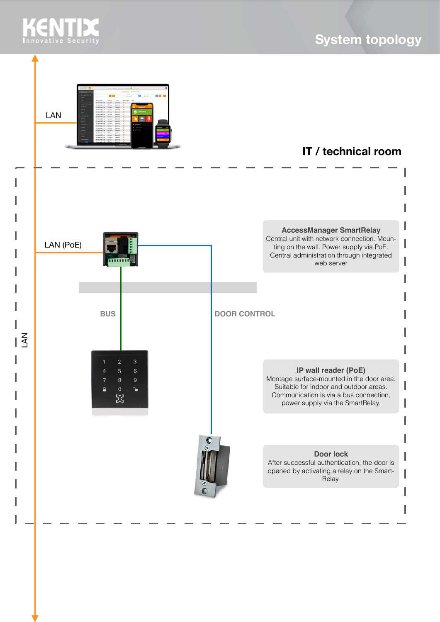